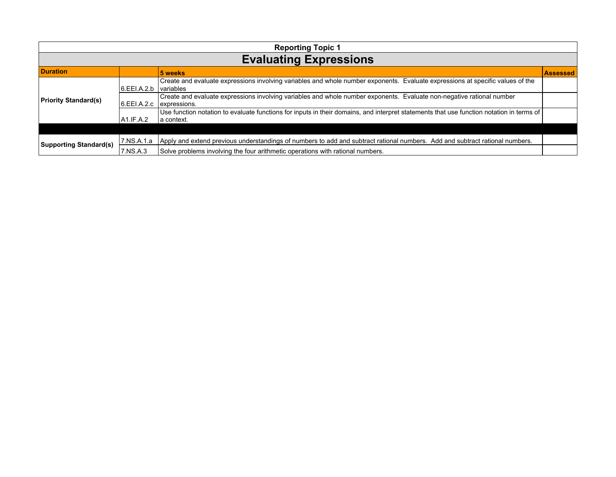| <b>Reporting Topic 1</b>      |              |                                                                                                                                                        |                 |  |
|-------------------------------|--------------|--------------------------------------------------------------------------------------------------------------------------------------------------------|-----------------|--|
| <b>Evaluating Expressions</b> |              |                                                                                                                                                        |                 |  |
| <b>Duration</b>               |              | 5 weeks                                                                                                                                                | <b>Assessed</b> |  |
| <b>Priority Standard(s)</b>   | 6.EEI.A.2.b  | Create and evaluate expressions involving variables and whole number exponents. Evaluate expressions at specific values of the<br><i>variables</i>     |                 |  |
|                               | 16.EEI.A.2.c | Create and evaluate expressions involving variables and whole number exponents. Evaluate non-negative rational number<br>expressions.                  |                 |  |
|                               | A1.IF.A.2    | Use function notation to evaluate functions for inputs in their domains, and interpret statements that use function notation in terms of<br>a context. |                 |  |
|                               |              |                                                                                                                                                        |                 |  |
| <b>Supporting Standard(s)</b> | 7.NS.A.1.a   | Apply and extend previous understandings of numbers to add and subtract rational numbers. Add and subtract rational numbers.                           |                 |  |
|                               | 7.NS.A.3     | Solve problems involving the four arithmetic operations with rational numbers.                                                                         |                 |  |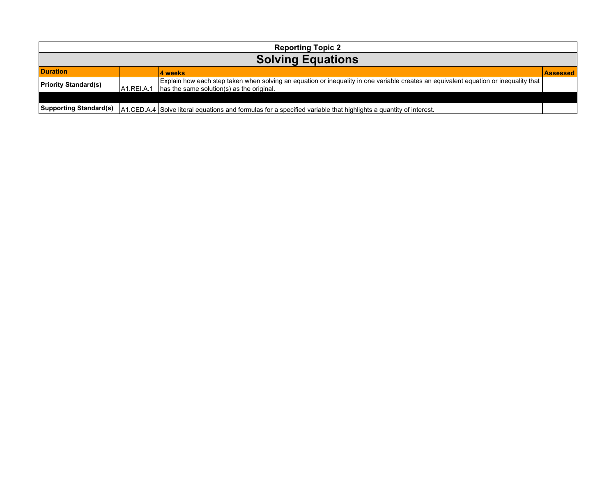| <b>Reporting Topic 2</b>      |            |                                                                                                                                                                                   |                 |  |  |
|-------------------------------|------------|-----------------------------------------------------------------------------------------------------------------------------------------------------------------------------------|-----------------|--|--|
| <b>Solving Equations</b>      |            |                                                                                                                                                                                   |                 |  |  |
| <b>Duration</b>               |            | 4 weeks                                                                                                                                                                           | <b>Assessed</b> |  |  |
| <b>Priority Standard(s)</b>   | LA1.RELA.1 | Explain how each step taken when solving an equation or inequality in one variable creates an equivalent equation or inequality that<br>has the same solution(s) as the original. |                 |  |  |
|                               |            |                                                                                                                                                                                   |                 |  |  |
| <b>Supporting Standard(s)</b> |            | A1.CED.A.4 Solve literal equations and formulas for a specified variable that highlights a quantity of interest.                                                                  |                 |  |  |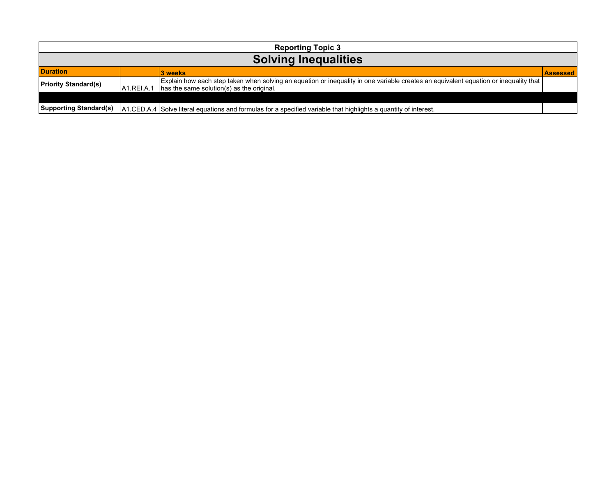| <b>Reporting Topic 3</b>      |            |                                                                                                                                                                                                   |                 |  |  |
|-------------------------------|------------|---------------------------------------------------------------------------------------------------------------------------------------------------------------------------------------------------|-----------------|--|--|
| <b>Solving Inequalities</b>   |            |                                                                                                                                                                                                   |                 |  |  |
| <b>Duration</b>               |            | 3 weeks                                                                                                                                                                                           | <b>Assessed</b> |  |  |
| <b>Priority Standard(s)</b>   | A1.REI.A.1 | Explain how each step taken when solving an equation or inequality in one variable creates an equivalent equation or inequality that $\vert$<br>$\vert$ has the same solution(s) as the original. |                 |  |  |
|                               |            |                                                                                                                                                                                                   |                 |  |  |
| <b>Supporting Standard(s)</b> |            | A1.CED.A.4 Solve literal equations and formulas for a specified variable that highlights a quantity of interest.                                                                                  |                 |  |  |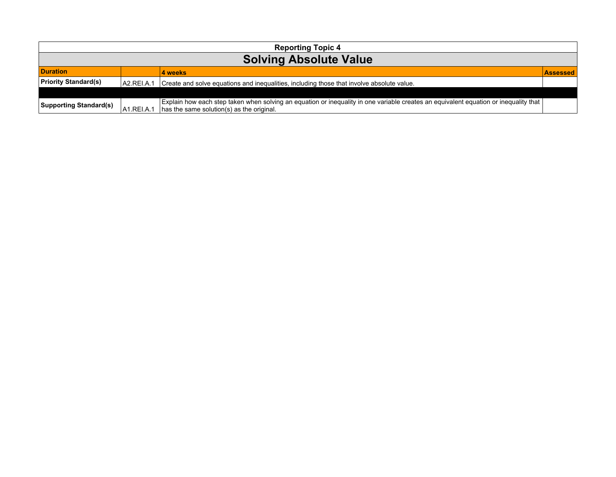| <b>Reporting Topic 4</b>      |             |                                                                                                                                                                                       |                  |  |
|-------------------------------|-------------|---------------------------------------------------------------------------------------------------------------------------------------------------------------------------------------|------------------|--|
| <b>Solving Absolute Value</b> |             |                                                                                                                                                                                       |                  |  |
| <b>Duration</b>               |             | <b>4</b> weeks                                                                                                                                                                        | <u>LASSessed</u> |  |
| <b>Priority Standard(s)</b>   | A2.REI.A.1  | Create and solve equations and inequalities, including those that involve absolute value.                                                                                             |                  |  |
|                               |             |                                                                                                                                                                                       |                  |  |
| <b>Supporting Standard(s)</b> | IA1.REI.A.1 | Explain how each step taken when solving an equation or inequality in one variable creates an equivalent equation or inequality that $ $<br>has the same solution(s) as the original. |                  |  |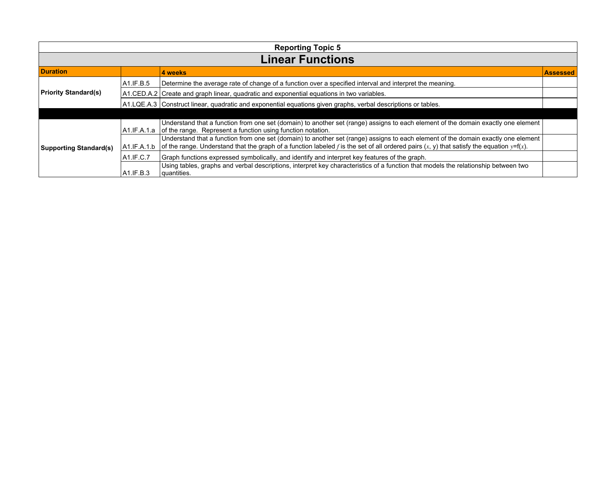| <b>Reporting Topic 5</b>      |              |                                                                                                                                                                                                                                                                                    |                 |  |
|-------------------------------|--------------|------------------------------------------------------------------------------------------------------------------------------------------------------------------------------------------------------------------------------------------------------------------------------------|-----------------|--|
| <b>Linear Functions</b>       |              |                                                                                                                                                                                                                                                                                    |                 |  |
| <b>Duration</b>               |              | 4 weeks                                                                                                                                                                                                                                                                            | <b>Assessed</b> |  |
|                               | A1.IF.B.5    | Determine the average rate of change of a function over a specified interval and interpret the meaning.                                                                                                                                                                            |                 |  |
| <b>Priority Standard(s)</b>   |              | A1.CED.A.2 Create and graph linear, quadratic and exponential equations in two variables.                                                                                                                                                                                          |                 |  |
|                               |              | A1.LQE.A.3 Construct linear, quadratic and exponential equations given graphs, verbal descriptions or tables.                                                                                                                                                                      |                 |  |
|                               |              |                                                                                                                                                                                                                                                                                    |                 |  |
| <b>Supporting Standard(s)</b> |              | Understand that a function from one set (domain) to another set (range) assigns to each element of the domain exactly one element<br>A1.IF.A.1.a   of the range. Represent a function using function notation.                                                                     |                 |  |
|                               | A1.IF.A.1.b  | Understand that a function from one set (domain) to another set (range) assigns to each element of the domain exactly one element<br>of the range. Understand that the graph of a function labeled f is the set of all ordered pairs $(x, y)$ that satisfy the equation $y=f(x)$ . |                 |  |
|                               | $AA$ .IF.C.7 | Graph functions expressed symbolically, and identify and interpret key features of the graph.                                                                                                                                                                                      |                 |  |
|                               | A1.IF.B.3    | Using tables, graphs and verbal descriptions, interpret key characteristics of a function that models the relationship between two<br>quantities.                                                                                                                                  |                 |  |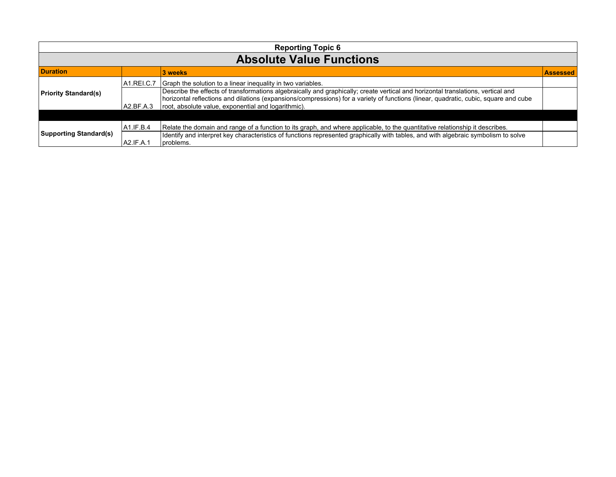| <b>Reporting Topic 6</b>        |            |                                                                                                                                                                                                                                                                          |                 |
|---------------------------------|------------|--------------------------------------------------------------------------------------------------------------------------------------------------------------------------------------------------------------------------------------------------------------------------|-----------------|
| <b>Absolute Value Functions</b> |            |                                                                                                                                                                                                                                                                          |                 |
| <b>Duration</b>                 |            | 3 weeks                                                                                                                                                                                                                                                                  | <b>Assessed</b> |
|                                 | A1.REI.C.7 | Graph the solution to a linear inequality in two variables.                                                                                                                                                                                                              |                 |
| <b>Priority Standard(s)</b>     |            | Describe the effects of transformations algebraically and graphically; create vertical and horizontal translations, vertical and<br>horizontal reflections and dilations (expansions/compressions) for a variety of functions (linear, quadratic, cubic, square and cube |                 |
|                                 | A2.BF.A.3  | root, absolute value, exponential and logarithmic).                                                                                                                                                                                                                      |                 |
|                                 |            |                                                                                                                                                                                                                                                                          |                 |
| <b>Supporting Standard(s)</b>   | A1.IF.B.4  | Relate the domain and range of a function to its graph, and where applicable, to the quantitative relationship it describes.                                                                                                                                             |                 |
|                                 | A2.IF.A.1  | Identify and interpret key characteristics of functions represented graphically with tables, and with algebraic symbolism to solve<br>problems.                                                                                                                          |                 |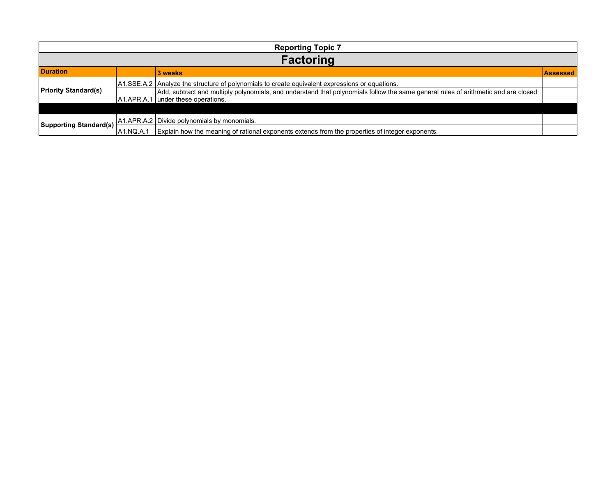| <b>Reporting Topic 7</b>       |           |                                                                                                                                                                          |                 |  |
|--------------------------------|-----------|--------------------------------------------------------------------------------------------------------------------------------------------------------------------------|-----------------|--|
| <b>Factoring</b>               |           |                                                                                                                                                                          |                 |  |
| <b>Duration</b>                |           | 3 weeks                                                                                                                                                                  | <b>Assessed</b> |  |
| <b>Priority Standard(s)</b>    |           | A1.SSE.A.2   Analyze the structure of polynomials to create equivalent expressions or equations.                                                                         |                 |  |
|                                |           | Add, subtract and multiply polynomials, and understand that polynomials follow the same general rules of arithmetic and are closed<br>A1.APR.A.1 under these operations. |                 |  |
|                                |           |                                                                                                                                                                          |                 |  |
| $ $ Supporting Standard(s) $ $ |           | A1.APR.A.2   Divide polynomials by monomials.                                                                                                                            |                 |  |
|                                | A1.NQ.A.1 | Explain how the meaning of rational exponents extends from the properties of integer exponents.                                                                          |                 |  |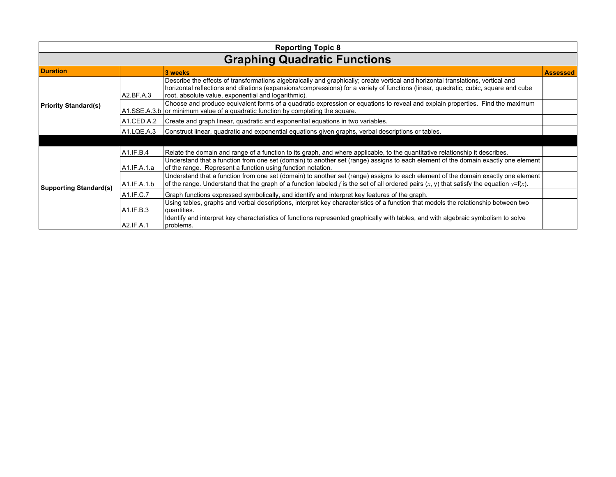| <b>Reporting Topic 8</b>            |             |                                                                                                                                                                                                                                                                                                                                 |                 |  |
|-------------------------------------|-------------|---------------------------------------------------------------------------------------------------------------------------------------------------------------------------------------------------------------------------------------------------------------------------------------------------------------------------------|-----------------|--|
| <b>Graphing Quadratic Functions</b> |             |                                                                                                                                                                                                                                                                                                                                 |                 |  |
| <b>Duration</b>                     |             | 3 weeks                                                                                                                                                                                                                                                                                                                         | <b>Assessed</b> |  |
|                                     | A2.BF.A.3   | Describe the effects of transformations algebraically and graphically; create vertical and horizontal translations, vertical and<br>horizontal reflections and dilations (expansions/compressions) for a variety of functions (linear, quadratic, cubic, square and cube<br>root, absolute value, exponential and logarithmic). |                 |  |
| <b>Priority Standard(s)</b>         |             | Choose and produce equivalent forms of a quadratic expression or equations to reveal and explain properties. Find the maximum<br>$A1.SSE.A.3.b$ or minimum value of a quadratic function by completing the square.                                                                                                              |                 |  |
|                                     | A1.CED.A.2  | Create and graph linear, quadratic and exponential equations in two variables.                                                                                                                                                                                                                                                  |                 |  |
|                                     | A1.LQE.A.3  | Construct linear, quadratic and exponential equations given graphs, verbal descriptions or tables.                                                                                                                                                                                                                              |                 |  |
|                                     |             |                                                                                                                                                                                                                                                                                                                                 |                 |  |
|                                     | A1.IF.B.4   | Relate the domain and range of a function to its graph, and where applicable, to the quantitative relationship it describes.                                                                                                                                                                                                    |                 |  |
|                                     | A1.IF.A.1.a | Understand that a function from one set (domain) to another set (range) assigns to each element of the domain exactly one element<br>of the range. Represent a function using function notation.                                                                                                                                |                 |  |
| <b>Supporting Standard(s)</b>       | A1.IF.A.1.b | Understand that a function from one set (domain) to another set (range) assigns to each element of the domain exactly one element<br>of the range. Understand that the graph of a function labeled f is the set of all ordered pairs $(x, y)$ that satisfy the equation $y=f(x)$ .                                              |                 |  |
|                                     | A1.IF.C.7   | Graph functions expressed symbolically, and identify and interpret key features of the graph.                                                                                                                                                                                                                                   |                 |  |
|                                     | A1.IF.B.3   | Using tables, graphs and verbal descriptions, interpret key characteristics of a function that models the relationship between two<br>quantities.                                                                                                                                                                               |                 |  |
|                                     | A2.IF.A.1   | Identify and interpret key characteristics of functions represented graphically with tables, and with algebraic symbolism to solve<br>problems.                                                                                                                                                                                 |                 |  |